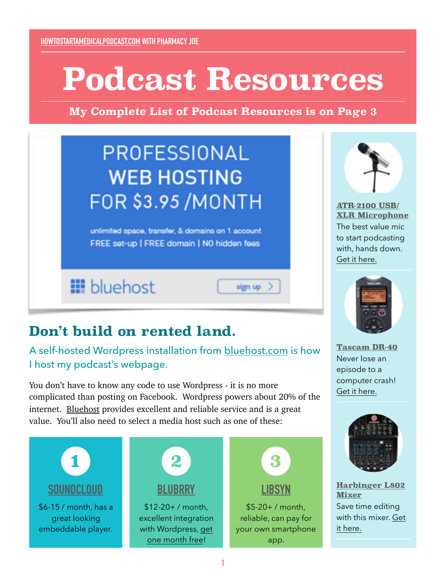# **Podcast Resources**

**My Complete List of Podcast Resources is on Page 3**

sign up

# PROFESSIONAL **WEB HOSTING FOR \$3.95 /MONTH**

unlimited space, transfer, & domains on 1 account FREE set-up | FREE domain | N0 hidden fees

**III** bluehost



**ATR-2100 USB/ [XLR Microphone](http://www.pharmacyjoe.com/recommended-resources/#microphone)** The best value mic to start podcasting with, hands down. [Get it here.](http://amzn.to/1jqMpzj)



**[Tascam DR-40](http://www.pharmacyjoe.com/recommended-resources/#recorder)** Never lose an episode to a computer crash! [Get it here.](http://amzn.to/1lnzXS2)



**[Harbinger L802](http://www.pharmacyjoe.com/recommended-resources/#mixer)  Mixer** Save time editing [with this mixer. Get](http://amzn.to/1jqMFOA)  it here.

## **Don't build on rented land.**

A self-hosted Wordpress installation from [bluehost.com](http://www.bluehost.com/track/m08317/pharmacyjoedotcom) is how I host my podcast's webpage.

You don't have to know any code to use Wordpress - it is no more complicated than posting on Facebook. Wordpress powers about 20% of the internet. [Bluehost](http://www.bluehost.com/track/m08317/pharmacyjoedotcom) provides excellent and reliable service and is a great value. You'll also need to select a media host such as one of these:

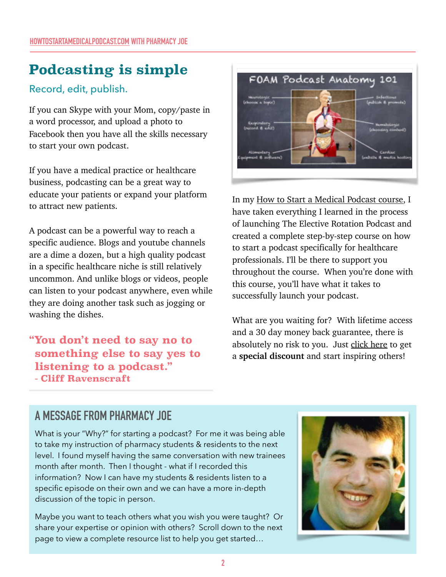# **Podcasting is simple**

#### Record, edit, publish.

If you can Skype with your Mom, copy/paste in a word processor, and upload a photo to Facebook then you have all the skills necessary to start your own podcast.

If you have a medical practice or healthcare business, podcasting can be a great way to educate your patients or expand your platform to attract new patients.

A podcast can be a powerful way to reach a specific audience. Blogs and youtube channels are a dime a dozen, but a high quality podcast in a specific healthcare niche is still relatively uncommon. And unlike blogs or videos, people can listen to your podcast anywhere, even while they are doing another task such as jogging or washing the dishes.

**"You don't need to say no to something else to say yes to listening to a podcast." - Cliff Ravenscraft**



In my [How to Start a Medical Podcast course,](http://www.pharmacyjoe.com/htpcoursepdf) I have taken everything I learned in the process of launching The Elective Rotation Podcast and created a complete step-by-step course on how to start a podcast specifically for healthcare professionals. I'll be there to support you throughout the course. When you're done with this course, you'll have what it takes to successfully launch your podcast.

What are you waiting for? With lifetime access and a 30 day money back guarantee, there is absolutely no risk to you. Just [click here](http://www.pharmacyjoe.com/htpcoursepdf) to get a **special discount** and start inspiring others!

### **A MESSAGE FROM PHARMACY JOE**

What is your "Why?" for starting a podcast? For me it was being able to take my instruction of pharmacy students & residents to the next level. I found myself having the same conversation with new trainees month after month. Then I thought - what if I recorded this information? Now I can have my students & residents listen to a specific episode on their own and we can have a more in-depth discussion of the topic in person.

Maybe you want to teach others what you wish you were taught? Or share your expertise or opinion with others? Scroll down to the next page to view a complete resource list to help you get started…